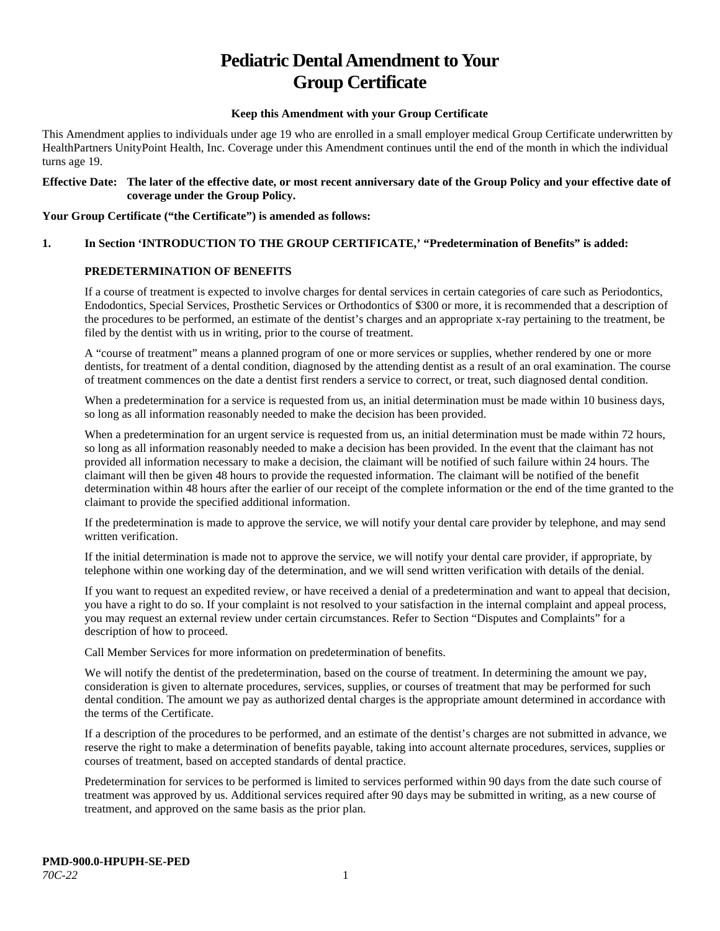# **Pediatric Dental Amendment to Your Group Certificate**

## **Keep this Amendment with your Group Certificate**

This Amendment applies to individuals under age 19 who are enrolled in a small employer medical Group Certificate underwritten by HealthPartners UnityPoint Health, Inc. Coverage under this Amendment continues until the end of the month in which the individual turns age 19.

## **Effective Date: The later of the effective date, or most recent anniversary date of the Group Policy and your effective date of coverage under the Group Policy.**

## **Your Group Certificate ("the Certificate") is amended as follows:**

## **1. In Section 'INTRODUCTION TO THE GROUP CERTIFICATE,' "Predetermination of Benefits" is added:**

## **PREDETERMINATION OF BENEFITS**

If a course of treatment is expected to involve charges for dental services in certain categories of care such as Periodontics, Endodontics, Special Services, Prosthetic Services or Orthodontics of \$300 or more, it is recommended that a description of the procedures to be performed, an estimate of the dentist's charges and an appropriate x-ray pertaining to the treatment, be filed by the dentist with us in writing, prior to the course of treatment.

A "course of treatment" means a planned program of one or more services or supplies, whether rendered by one or more dentists, for treatment of a dental condition, diagnosed by the attending dentist as a result of an oral examination. The course of treatment commences on the date a dentist first renders a service to correct, or treat, such diagnosed dental condition.

When a predetermination for a service is requested from us, an initial determination must be made within 10 business days, so long as all information reasonably needed to make the decision has been provided.

When a predetermination for an urgent service is requested from us, an initial determination must be made within 72 hours, so long as all information reasonably needed to make a decision has been provided. In the event that the claimant has not provided all information necessary to make a decision, the claimant will be notified of such failure within 24 hours. The claimant will then be given 48 hours to provide the requested information. The claimant will be notified of the benefit determination within 48 hours after the earlier of our receipt of the complete information or the end of the time granted to the claimant to provide the specified additional information.

If the predetermination is made to approve the service, we will notify your dental care provider by telephone, and may send written verification.

If the initial determination is made not to approve the service, we will notify your dental care provider, if appropriate, by telephone within one working day of the determination, and we will send written verification with details of the denial.

If you want to request an expedited review, or have received a denial of a predetermination and want to appeal that decision, you have a right to do so. If your complaint is not resolved to your satisfaction in the internal complaint and appeal process, you may request an external review under certain circumstances. Refer to Section "Disputes and Complaints" for a description of how to proceed.

Call Member Services for more information on predetermination of benefits.

We will notify the dentist of the predetermination, based on the course of treatment. In determining the amount we pay, consideration is given to alternate procedures, services, supplies, or courses of treatment that may be performed for such dental condition. The amount we pay as authorized dental charges is the appropriate amount determined in accordance with the terms of the Certificate.

If a description of the procedures to be performed, and an estimate of the dentist's charges are not submitted in advance, we reserve the right to make a determination of benefits payable, taking into account alternate procedures, services, supplies or courses of treatment, based on accepted standards of dental practice.

Predetermination for services to be performed is limited to services performed within 90 days from the date such course of treatment was approved by us. Additional services required after 90 days may be submitted in writing, as a new course of treatment, and approved on the same basis as the prior plan.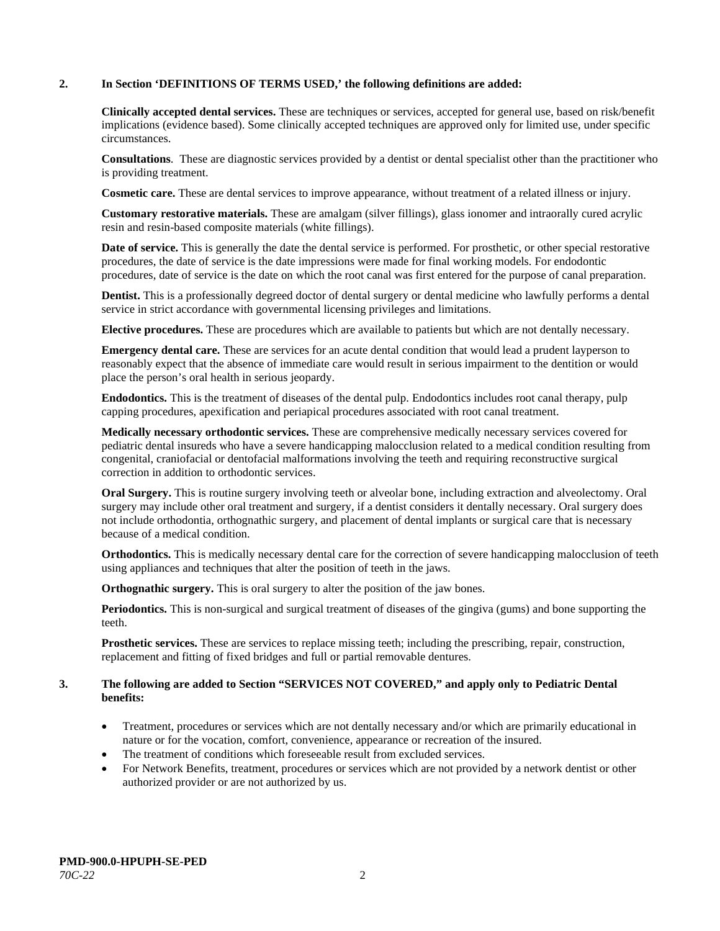## **2. In Section 'DEFINITIONS OF TERMS USED,' the following definitions are added:**

**Clinically accepted dental services.** These are techniques or services, accepted for general use, based on risk/benefit implications (evidence based). Some clinically accepted techniques are approved only for limited use, under specific circumstances.

**Consultations**. These are diagnostic services provided by a dentist or dental specialist other than the practitioner who is providing treatment.

**Cosmetic care.** These are dental services to improve appearance, without treatment of a related illness or injury.

**Customary restorative materials.** These are amalgam (silver fillings), glass ionomer and intraorally cured acrylic resin and resin-based composite materials (white fillings).

**Date of service.** This is generally the date the dental service is performed. For prosthetic, or other special restorative procedures, the date of service is the date impressions were made for final working models. For endodontic procedures, date of service is the date on which the root canal was first entered for the purpose of canal preparation.

**Dentist.** This is a professionally degreed doctor of dental surgery or dental medicine who lawfully performs a dental service in strict accordance with governmental licensing privileges and limitations.

**Elective procedures.** These are procedures which are available to patients but which are not dentally necessary.

**Emergency dental care.** These are services for an acute dental condition that would lead a prudent layperson to reasonably expect that the absence of immediate care would result in serious impairment to the dentition or would place the person's oral health in serious jeopardy.

**Endodontics.** This is the treatment of diseases of the dental pulp. Endodontics includes root canal therapy, pulp capping procedures, apexification and periapical procedures associated with root canal treatment.

**Medically necessary orthodontic services.** These are comprehensive medically necessary services covered for pediatric dental insureds who have a severe handicapping malocclusion related to a medical condition resulting from congenital, craniofacial or dentofacial malformations involving the teeth and requiring reconstructive surgical correction in addition to orthodontic services.

**Oral Surgery.** This is routine surgery involving teeth or alveolar bone, including extraction and alveolectomy. Oral surgery may include other oral treatment and surgery, if a dentist considers it dentally necessary. Oral surgery does not include orthodontia, orthognathic surgery, and placement of dental implants or surgical care that is necessary because of a medical condition.

**Orthodontics.** This is medically necessary dental care for the correction of severe handicapping malocclusion of teeth using appliances and techniques that alter the position of teeth in the jaws.

**Orthognathic surgery.** This is oral surgery to alter the position of the jaw bones.

**Periodontics.** This is non-surgical and surgical treatment of diseases of the gingiva (gums) and bone supporting the teeth.

**Prosthetic services.** These are services to replace missing teeth; including the prescribing, repair, construction, replacement and fitting of fixed bridges and full or partial removable dentures.

#### **3. The following are added to Section "SERVICES NOT COVERED," and apply only to Pediatric Dental benefits:**

- Treatment, procedures or services which are not dentally necessary and/or which are primarily educational in nature or for the vocation, comfort, convenience, appearance or recreation of the insured.
- The treatment of conditions which foreseeable result from excluded services.
- For Network Benefits, treatment, procedures or services which are not provided by a network dentist or other authorized provider or are not authorized by us.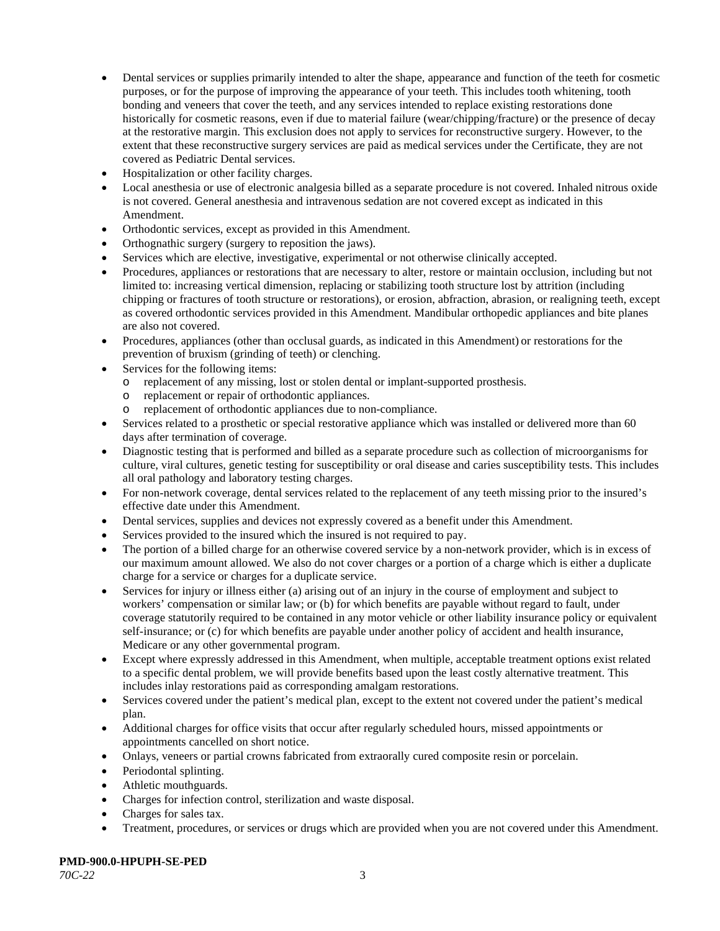- Dental services or supplies primarily intended to alter the shape, appearance and function of the teeth for cosmetic purposes, or for the purpose of improving the appearance of your teeth. This includes tooth whitening, tooth bonding and veneers that cover the teeth, and any services intended to replace existing restorations done historically for cosmetic reasons, even if due to material failure (wear/chipping/fracture) or the presence of decay at the restorative margin. This exclusion does not apply to services for reconstructive surgery. However, to the extent that these reconstructive surgery services are paid as medical services under the Certificate, they are not covered as Pediatric Dental services.
- Hospitalization or other facility charges.
- Local anesthesia or use of electronic analgesia billed as a separate procedure is not covered. Inhaled nitrous oxide is not covered. General anesthesia and intravenous sedation are not covered except as indicated in this Amendment.
- Orthodontic services, except as provided in this Amendment.
- Orthognathic surgery (surgery to reposition the jaws).
- Services which are elective, investigative, experimental or not otherwise clinically accepted.
- Procedures, appliances or restorations that are necessary to alter, restore or maintain occlusion, including but not limited to: increasing vertical dimension, replacing or stabilizing tooth structure lost by attrition (including chipping or fractures of tooth structure or restorations), or erosion, abfraction, abrasion, or realigning teeth, except as covered orthodontic services provided in this Amendment. Mandibular orthopedic appliances and bite planes are also not covered.
- Procedures, appliances (other than occlusal guards, as indicated in this Amendment) or restorations for the prevention of bruxism (grinding of teeth) or clenching.
- Services for the following items:
	- o replacement of any missing, lost or stolen dental or implant-supported prosthesis.
	- o replacement or repair of orthodontic appliances.
	- replacement of orthodontic appliances due to non-compliance.
- Services related to a prosthetic or special restorative appliance which was installed or delivered more than 60 days after termination of coverage.
- Diagnostic testing that is performed and billed as a separate procedure such as collection of microorganisms for culture, viral cultures, genetic testing for susceptibility or oral disease and caries susceptibility tests. This includes all oral pathology and laboratory testing charges.
- For non-network coverage, dental services related to the replacement of any teeth missing prior to the insured's effective date under this Amendment.
- Dental services, supplies and devices not expressly covered as a benefit under this Amendment.
- Services provided to the insured which the insured is not required to pay.
- The portion of a billed charge for an otherwise covered service by a non-network provider, which is in excess of our maximum amount allowed. We also do not cover charges or a portion of a charge which is either a duplicate charge for a service or charges for a duplicate service.
- Services for injury or illness either (a) arising out of an injury in the course of employment and subject to workers' compensation or similar law; or (b) for which benefits are payable without regard to fault, under coverage statutorily required to be contained in any motor vehicle or other liability insurance policy or equivalent self-insurance; or (c) for which benefits are payable under another policy of accident and health insurance, Medicare or any other governmental program.
- Except where expressly addressed in this Amendment, when multiple, acceptable treatment options exist related to a specific dental problem, we will provide benefits based upon the least costly alternative treatment. This includes inlay restorations paid as corresponding amalgam restorations.
- Services covered under the patient's medical plan, except to the extent not covered under the patient's medical plan.
- Additional charges for office visits that occur after regularly scheduled hours, missed appointments or appointments cancelled on short notice.
- Onlays, veneers or partial crowns fabricated from extraorally cured composite resin or porcelain.
- Periodontal splinting.
- Athletic mouthguards.
- Charges for infection control, sterilization and waste disposal.
- Charges for sales tax.
- Treatment, procedures, or services or drugs which are provided when you are not covered under this Amendment.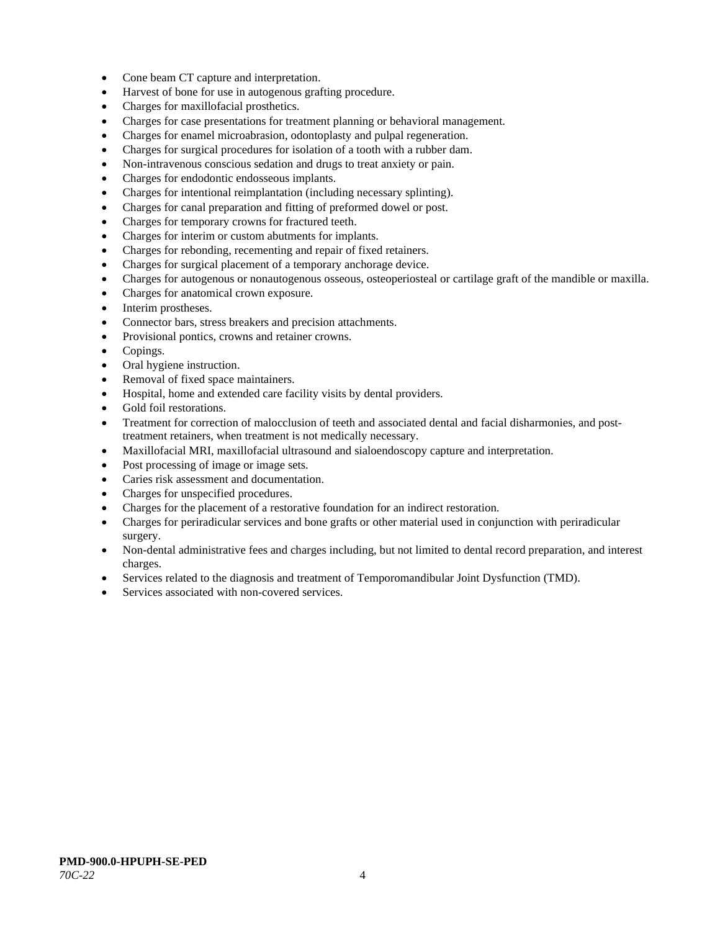- Cone beam CT capture and interpretation.
- Harvest of bone for use in autogenous grafting procedure.
- Charges for maxillofacial prosthetics.
- Charges for case presentations for treatment planning or behavioral management.
- Charges for enamel microabrasion, odontoplasty and pulpal regeneration.
- Charges for surgical procedures for isolation of a tooth with a rubber dam.
- Non-intravenous conscious sedation and drugs to treat anxiety or pain.
- Charges for endodontic endosseous implants.
- Charges for intentional reimplantation (including necessary splinting).
- Charges for canal preparation and fitting of preformed dowel or post.
- Charges for temporary crowns for fractured teeth.
- Charges for interim or custom abutments for implants.
- Charges for rebonding, recementing and repair of fixed retainers.
- Charges for surgical placement of a temporary anchorage device.
- Charges for autogenous or nonautogenous osseous, osteoperiosteal or cartilage graft of the mandible or maxilla.
- Charges for anatomical crown exposure.
- Interim prostheses.
- Connector bars, stress breakers and precision attachments.
- Provisional pontics, crowns and retainer crowns.
- Copings.
- Oral hygiene instruction.
- Removal of fixed space maintainers.
- Hospital, home and extended care facility visits by dental providers.
- Gold foil restorations.
- Treatment for correction of malocclusion of teeth and associated dental and facial disharmonies, and posttreatment retainers, when treatment is not medically necessary.
- Maxillofacial MRI, maxillofacial ultrasound and sialoendoscopy capture and interpretation.
- Post processing of image or image sets.
- Caries risk assessment and documentation.
- Charges for unspecified procedures.
- Charges for the placement of a restorative foundation for an indirect restoration.
- Charges for periradicular services and bone grafts or other material used in conjunction with periradicular surgery.
- Non-dental administrative fees and charges including, but not limited to dental record preparation, and interest charges.
- Services related to the diagnosis and treatment of Temporomandibular Joint Dysfunction (TMD).
- Services associated with non-covered services.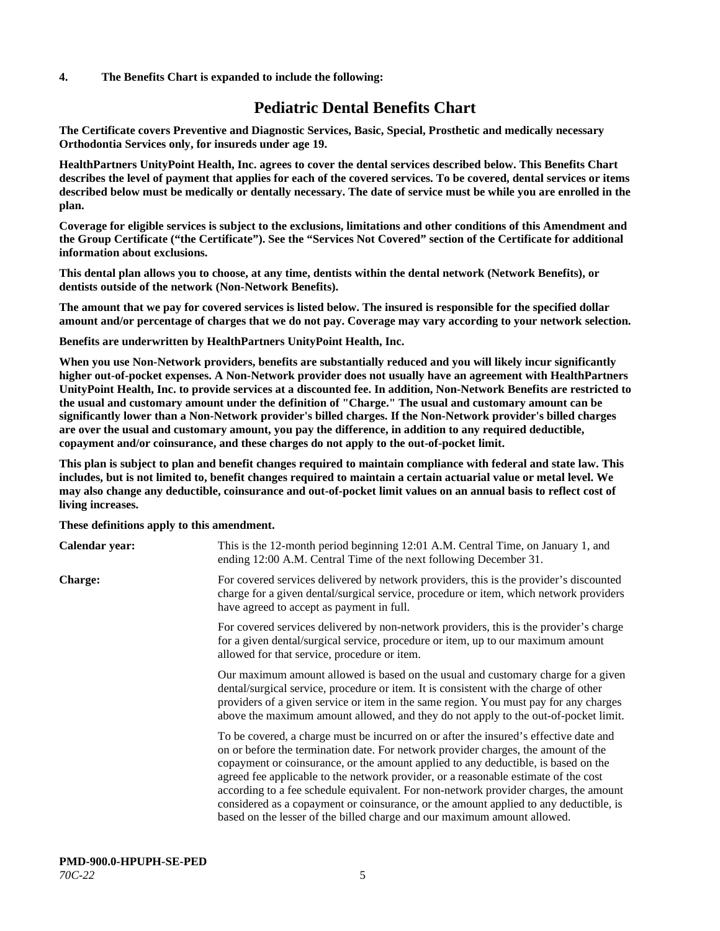## **4. The Benefits Chart is expanded to include the following:**

## **Pediatric Dental Benefits Chart**

**The Certificate covers Preventive and Diagnostic Services, Basic, Special, Prosthetic and medically necessary Orthodontia Services only, for insureds under age 19.**

**HealthPartners UnityPoint Health, Inc. agrees to cover the dental services described below. This Benefits Chart describes the level of payment that applies for each of the covered services. To be covered, dental services or items described below must be medically or dentally necessary. The date of service must be while you are enrolled in the plan.**

**Coverage for eligible services is subject to the exclusions, limitations and other conditions of this Amendment and the Group Certificate ("the Certificate"). See the "Services Not Covered" section of the Certificate for additional information about exclusions.**

**This dental plan allows you to choose, at any time, dentists within the dental network (Network Benefits), or dentists outside of the network (Non-Network Benefits).**

**The amount that we pay for covered services is listed below. The insured is responsible for the specified dollar amount and/or percentage of charges that we do not pay. Coverage may vary according to your network selection.**

**Benefits are underwritten by HealthPartners UnityPoint Health, Inc.**

**When you use Non-Network providers, benefits are substantially reduced and you will likely incur significantly higher out-of-pocket expenses. A Non-Network provider does not usually have an agreement with HealthPartners UnityPoint Health, Inc. to provide services at a discounted fee. In addition, Non-Network Benefits are restricted to the usual and customary amount under the definition of "Charge." The usual and customary amount can be significantly lower than a Non-Network provider's billed charges. If the Non-Network provider's billed charges are over the usual and customary amount, you pay the difference, in addition to any required deductible, copayment and/or coinsurance, and these charges do not apply to the out-of-pocket limit.**

**This plan is subject to plan and benefit changes required to maintain compliance with federal and state law. This includes, but is not limited to, benefit changes required to maintain a certain actuarial value or metal level. We may also change any deductible, coinsurance and out-of-pocket limit values on an annual basis to reflect cost of living increases.**

**These definitions apply to this amendment.**

| Calendar year: | This is the 12-month period beginning 12:01 A.M. Central Time, on January 1, and<br>ending 12:00 A.M. Central Time of the next following December 31.                                                                                                                                                                                                                                                                                                                                                                                                                                                                 |
|----------------|-----------------------------------------------------------------------------------------------------------------------------------------------------------------------------------------------------------------------------------------------------------------------------------------------------------------------------------------------------------------------------------------------------------------------------------------------------------------------------------------------------------------------------------------------------------------------------------------------------------------------|
| <b>Charge:</b> | For covered services delivered by network providers, this is the provider's discounted<br>charge for a given dental/surgical service, procedure or item, which network providers<br>have agreed to accept as payment in full.                                                                                                                                                                                                                                                                                                                                                                                         |
|                | For covered services delivered by non-network providers, this is the provider's charge<br>for a given dental/surgical service, procedure or item, up to our maximum amount<br>allowed for that service, procedure or item.                                                                                                                                                                                                                                                                                                                                                                                            |
|                | Our maximum amount allowed is based on the usual and customary charge for a given<br>dental/surgical service, procedure or item. It is consistent with the charge of other<br>providers of a given service or item in the same region. You must pay for any charges<br>above the maximum amount allowed, and they do not apply to the out-of-pocket limit.                                                                                                                                                                                                                                                            |
|                | To be covered, a charge must be incurred on or after the insured's effective date and<br>on or before the termination date. For network provider charges, the amount of the<br>copayment or coinsurance, or the amount applied to any deductible, is based on the<br>agreed fee applicable to the network provider, or a reasonable estimate of the cost<br>according to a fee schedule equivalent. For non-network provider charges, the amount<br>considered as a copayment or coinsurance, or the amount applied to any deductible, is<br>based on the lesser of the billed charge and our maximum amount allowed. |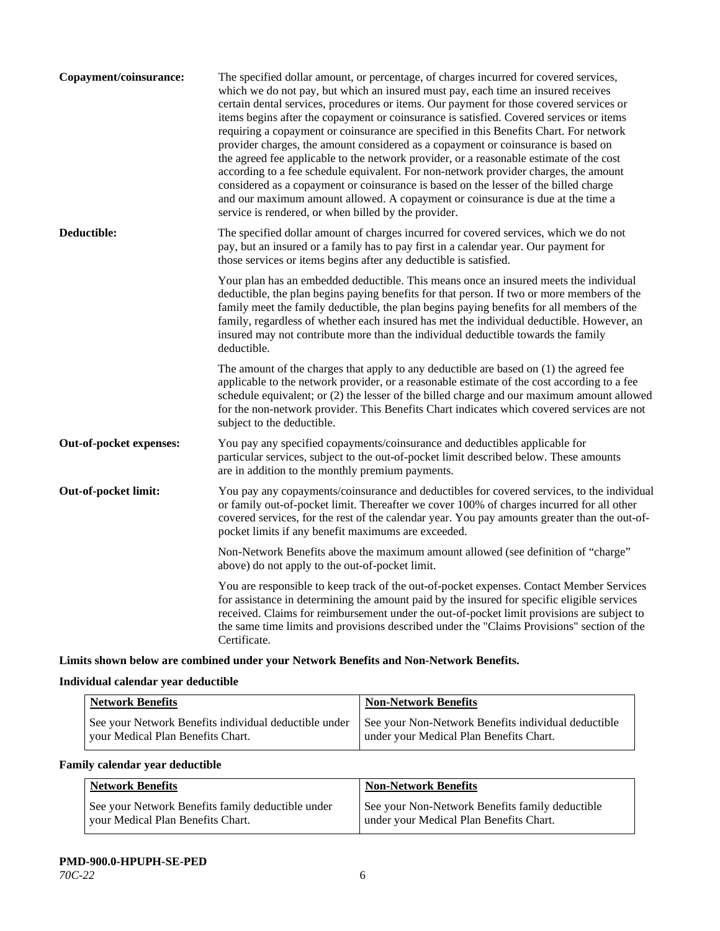| Copayment/coinsurance:  | The specified dollar amount, or percentage, of charges incurred for covered services,<br>which we do not pay, but which an insured must pay, each time an insured receives<br>certain dental services, procedures or items. Our payment for those covered services or<br>items begins after the copayment or coinsurance is satisfied. Covered services or items<br>requiring a copayment or coinsurance are specified in this Benefits Chart. For network<br>provider charges, the amount considered as a copayment or coinsurance is based on<br>the agreed fee applicable to the network provider, or a reasonable estimate of the cost<br>according to a fee schedule equivalent. For non-network provider charges, the amount<br>considered as a copayment or coinsurance is based on the lesser of the billed charge<br>and our maximum amount allowed. A copayment or coinsurance is due at the time a<br>service is rendered, or when billed by the provider. |
|-------------------------|-----------------------------------------------------------------------------------------------------------------------------------------------------------------------------------------------------------------------------------------------------------------------------------------------------------------------------------------------------------------------------------------------------------------------------------------------------------------------------------------------------------------------------------------------------------------------------------------------------------------------------------------------------------------------------------------------------------------------------------------------------------------------------------------------------------------------------------------------------------------------------------------------------------------------------------------------------------------------|
| Deductible:             | The specified dollar amount of charges incurred for covered services, which we do not<br>pay, but an insured or a family has to pay first in a calendar year. Our payment for<br>those services or items begins after any deductible is satisfied.                                                                                                                                                                                                                                                                                                                                                                                                                                                                                                                                                                                                                                                                                                                    |
|                         | Your plan has an embedded deductible. This means once an insured meets the individual<br>deductible, the plan begins paying benefits for that person. If two or more members of the<br>family meet the family deductible, the plan begins paying benefits for all members of the<br>family, regardless of whether each insured has met the individual deductible. However, an<br>insured may not contribute more than the individual deductible towards the family<br>deductible.                                                                                                                                                                                                                                                                                                                                                                                                                                                                                     |
|                         | The amount of the charges that apply to any deductible are based on (1) the agreed fee<br>applicable to the network provider, or a reasonable estimate of the cost according to a fee<br>schedule equivalent; or (2) the lesser of the billed charge and our maximum amount allowed<br>for the non-network provider. This Benefits Chart indicates which covered services are not<br>subject to the deductible.                                                                                                                                                                                                                                                                                                                                                                                                                                                                                                                                                       |
| Out-of-pocket expenses: | You pay any specified copayments/coinsurance and deductibles applicable for<br>particular services, subject to the out-of-pocket limit described below. These amounts<br>are in addition to the monthly premium payments.                                                                                                                                                                                                                                                                                                                                                                                                                                                                                                                                                                                                                                                                                                                                             |
| Out-of-pocket limit:    | You pay any copayments/coinsurance and deductibles for covered services, to the individual<br>or family out-of-pocket limit. Thereafter we cover 100% of charges incurred for all other<br>covered services, for the rest of the calendar year. You pay amounts greater than the out-of-<br>pocket limits if any benefit maximums are exceeded.                                                                                                                                                                                                                                                                                                                                                                                                                                                                                                                                                                                                                       |
|                         | Non-Network Benefits above the maximum amount allowed (see definition of "charge"<br>above) do not apply to the out-of-pocket limit.                                                                                                                                                                                                                                                                                                                                                                                                                                                                                                                                                                                                                                                                                                                                                                                                                                  |
|                         | You are responsible to keep track of the out-of-pocket expenses. Contact Member Services<br>for assistance in determining the amount paid by the insured for specific eligible services<br>received. Claims for reimbursement under the out-of-pocket limit provisions are subject to<br>the same time limits and provisions described under the "Claims Provisions" section of the<br>Certificate.                                                                                                                                                                                                                                                                                                                                                                                                                                                                                                                                                                   |

**Limits shown below are combined under your Network Benefits and Non-Network Benefits.**

## **Individual calendar year deductible**

| <b>Network Benefits</b>                                                                    | <b>Non-Network Benefits</b>                                                                    |
|--------------------------------------------------------------------------------------------|------------------------------------------------------------------------------------------------|
| See your Network Benefits individual deductible under<br>vour Medical Plan Benefits Chart. | See your Non-Network Benefits individual deductible<br>under your Medical Plan Benefits Chart. |

## **Family calendar year deductible**

| <b>Network Benefits</b>                                                                | <b>Non-Network Benefits</b>                                                                |
|----------------------------------------------------------------------------------------|--------------------------------------------------------------------------------------------|
| See your Network Benefits family deductible under<br>your Medical Plan Benefits Chart. | See your Non-Network Benefits family deductible<br>under your Medical Plan Benefits Chart. |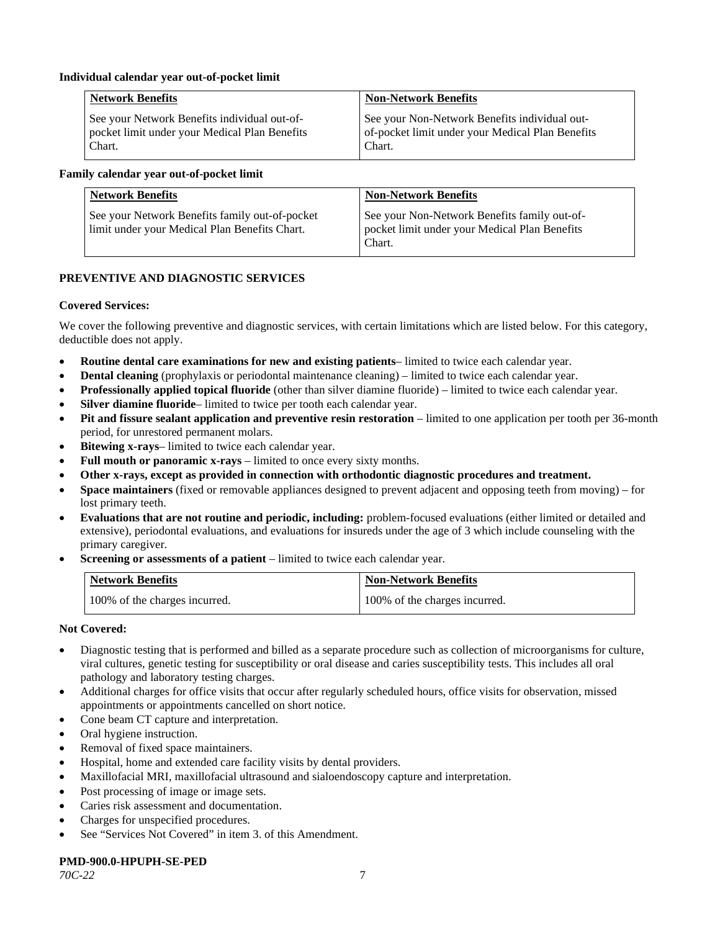## **Individual calendar year out-of-pocket limit**

| Network Benefits                              | <b>Non-Network Benefits</b>                      |
|-----------------------------------------------|--------------------------------------------------|
| See your Network Benefits individual out-of-  | See your Non-Network Benefits individual out-    |
| pocket limit under your Medical Plan Benefits | of-pocket limit under your Medical Plan Benefits |
| Chart.                                        | Chart.                                           |

## **Family calendar year out-of-pocket limit**

| <b>Network Benefits</b>                                                                         | <b>Non-Network Benefits</b>                                                                             |
|-------------------------------------------------------------------------------------------------|---------------------------------------------------------------------------------------------------------|
| See your Network Benefits family out-of-pocket<br>limit under your Medical Plan Benefits Chart. | See your Non-Network Benefits family out-of-<br>pocket limit under your Medical Plan Benefits<br>Chart. |

## **PREVENTIVE AND DIAGNOSTIC SERVICES**

#### **Covered Services:**

We cover the following preventive and diagnostic services, with certain limitations which are listed below. For this category, deductible does not apply.

- **Routine dental care examinations for new and existing patients** limited to twice each calendar year.
- **Dental cleaning** (prophylaxis or periodontal maintenance cleaning) limited to twice each calendar year.
- **Professionally applied topical fluoride** (other than silver diamine fluoride) limited to twice each calendar year.
- **Silver diamine fluoride** limited to twice per tooth each calendar year.
- **Pit and fissure sealant application and preventive resin restoration** limited to one application per tooth per 36-month period, for unrestored permanent molars.
- **Bitewing x-rays** limited to twice each calendar year.
- **Full mouth or panoramic x-rays** limited to once every sixty months.
- **Other x-rays, except as provided in connection with orthodontic diagnostic procedures and treatment.**
- **Space maintainers** (fixed or removable appliances designed to prevent adjacent and opposing teeth from moving) for lost primary teeth.
- **Evaluations that are not routine and periodic, including:** problem-focused evaluations (either limited or detailed and extensive), periodontal evaluations, and evaluations for insureds under the age of 3 which include counseling with the primary caregiver.
- **Screening or assessments of a patient** limited to twice each calendar year.

| <b>Network Benefits</b>       | <b>Non-Network Benefits</b>   |
|-------------------------------|-------------------------------|
| 100% of the charges incurred. | 100% of the charges incurred. |

## **Not Covered:**

- Diagnostic testing that is performed and billed as a separate procedure such as collection of microorganisms for culture, viral cultures, genetic testing for susceptibility or oral disease and caries susceptibility tests. This includes all oral pathology and laboratory testing charges.
- Additional charges for office visits that occur after regularly scheduled hours, office visits for observation, missed appointments or appointments cancelled on short notice.
- Cone beam CT capture and interpretation.
- Oral hygiene instruction.
- Removal of fixed space maintainers.
- Hospital, home and extended care facility visits by dental providers.
- Maxillofacial MRI, maxillofacial ultrasound and sialoendoscopy capture and interpretation.
- Post processing of image or image sets.
- Caries risk assessment and documentation.
- Charges for unspecified procedures.
- See "Services Not Covered" in item 3. of this Amendment.

#### **PMD-900.0-HPUPH-SE-PED**

*70C-22* 7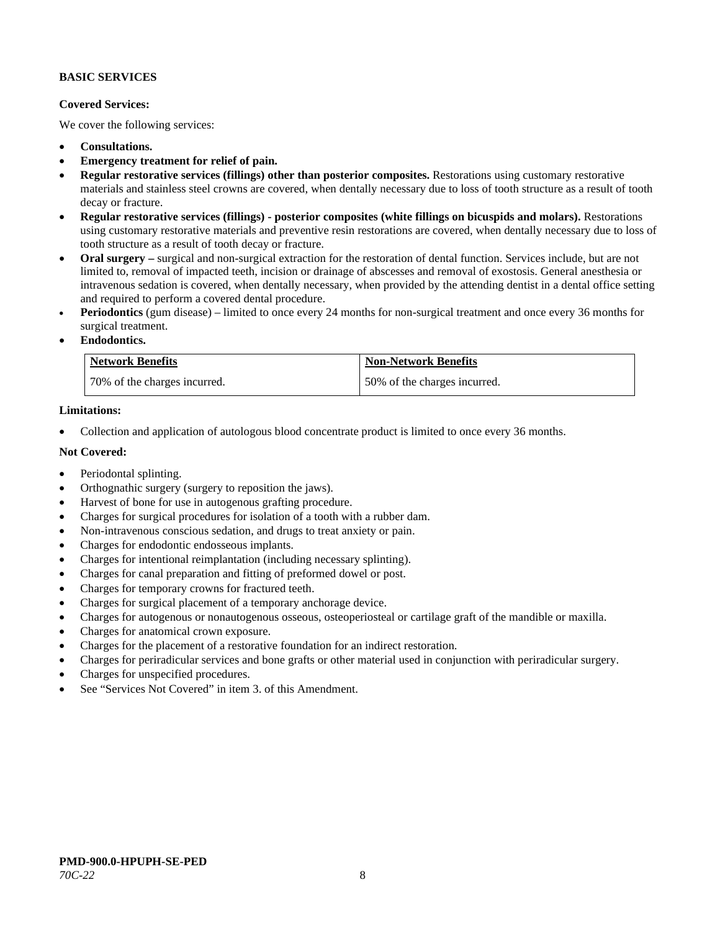## **BASIC SERVICES**

## **Covered Services:**

We cover the following services:

- **Consultations.**
- **Emergency treatment for relief of pain.**
- **Regular restorative services (fillings) other than posterior composites.** Restorations using customary restorative materials and stainless steel crowns are covered, when dentally necessary due to loss of tooth structure as a result of tooth decay or fracture.
- **Regular restorative services (fillings) - posterior composites (white fillings on bicuspids and molars).** Restorations using customary restorative materials and preventive resin restorations are covered, when dentally necessary due to loss of tooth structure as a result of tooth decay or fracture.
- **Oral surgery –** surgical and non-surgical extraction for the restoration of dental function. Services include, but are not limited to, removal of impacted teeth, incision or drainage of abscesses and removal of exostosis. General anesthesia or intravenous sedation is covered, when dentally necessary, when provided by the attending dentist in a dental office setting and required to perform a covered dental procedure.
- **Periodontics** (gum disease) limited to once every 24 months for non-surgical treatment and once every 36 months for surgical treatment.
- **Endodontics.**

| <b>Network Benefits</b>      | <b>Non-Network Benefits</b>  |
|------------------------------|------------------------------|
| 70% of the charges incurred. | 50% of the charges incurred. |

## **Limitations:**

• Collection and application of autologous blood concentrate product is limited to once every 36 months.

#### **Not Covered:**

- Periodontal splinting.
- Orthognathic surgery (surgery to reposition the jaws).
- Harvest of bone for use in autogenous grafting procedure.
- Charges for surgical procedures for isolation of a tooth with a rubber dam.
- Non-intravenous conscious sedation, and drugs to treat anxiety or pain.
- Charges for endodontic endosseous implants.
- Charges for intentional reimplantation (including necessary splinting).
- Charges for canal preparation and fitting of preformed dowel or post.
- Charges for temporary crowns for fractured teeth.
- Charges for surgical placement of a temporary anchorage device.
- Charges for autogenous or nonautogenous osseous, osteoperiosteal or cartilage graft of the mandible or maxilla.
- Charges for anatomical crown exposure.
- Charges for the placement of a restorative foundation for an indirect restoration.
- Charges for periradicular services and bone grafts or other material used in conjunction with periradicular surgery.
- Charges for unspecified procedures.
- See "Services Not Covered" in item 3. of this Amendment.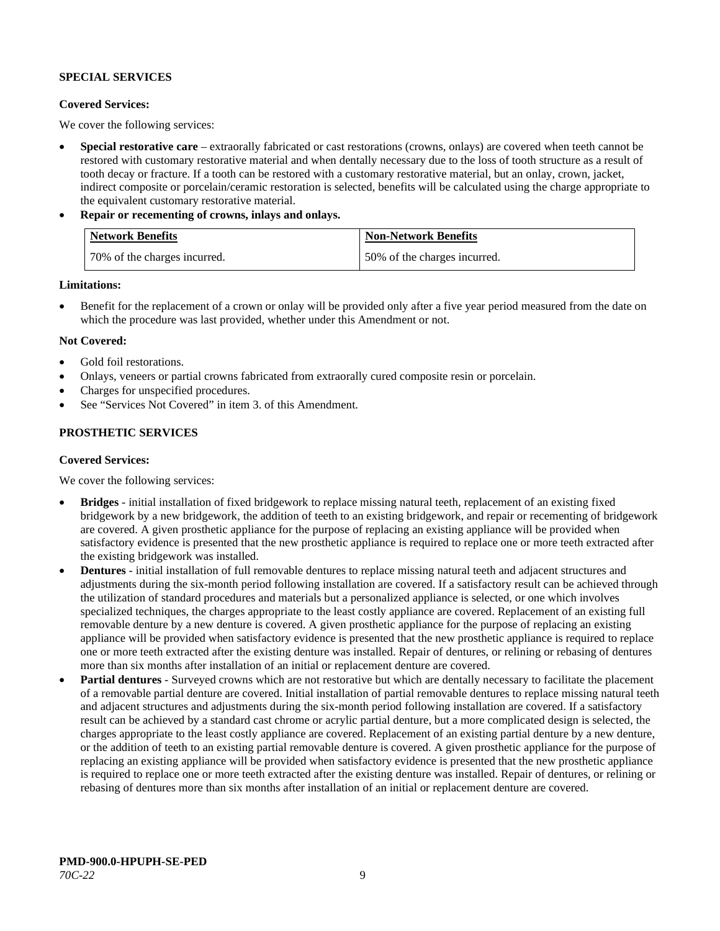## **SPECIAL SERVICES**

## **Covered Services:**

We cover the following services:

- **Special restorative care** extraorally fabricated or cast restorations (crowns, onlays) are covered when teeth cannot be restored with customary restorative material and when dentally necessary due to the loss of tooth structure as a result of tooth decay or fracture. If a tooth can be restored with a customary restorative material, but an onlay, crown, jacket, indirect composite or porcelain/ceramic restoration is selected, benefits will be calculated using the charge appropriate to the equivalent customary restorative material.
- **Repair or recementing of crowns, inlays and onlays.**

| <b>Network Benefits</b>      | <b>Non-Network Benefits</b>  |
|------------------------------|------------------------------|
| 70% of the charges incurred. | 50% of the charges incurred. |

**Limitations:**

• Benefit for the replacement of a crown or onlay will be provided only after a five year period measured from the date on which the procedure was last provided, whether under this Amendment or not.

## **Not Covered:**

- Gold foil restorations.
- Onlays, veneers or partial crowns fabricated from extraorally cured composite resin or porcelain.
- Charges for unspecified procedures.
- See "Services Not Covered" in item 3. of this Amendment.

## **PROSTHETIC SERVICES**

## **Covered Services:**

We cover the following services:

- **Bridges** initial installation of fixed bridgework to replace missing natural teeth, replacement of an existing fixed bridgework by a new bridgework, the addition of teeth to an existing bridgework, and repair or recementing of bridgework are covered. A given prosthetic appliance for the purpose of replacing an existing appliance will be provided when satisfactory evidence is presented that the new prosthetic appliance is required to replace one or more teeth extracted after the existing bridgework was installed.
- **Dentures** initial installation of full removable dentures to replace missing natural teeth and adjacent structures and adjustments during the six-month period following installation are covered. If a satisfactory result can be achieved through the utilization of standard procedures and materials but a personalized appliance is selected, or one which involves specialized techniques, the charges appropriate to the least costly appliance are covered. Replacement of an existing full removable denture by a new denture is covered. A given prosthetic appliance for the purpose of replacing an existing appliance will be provided when satisfactory evidence is presented that the new prosthetic appliance is required to replace one or more teeth extracted after the existing denture was installed. Repair of dentures, or relining or rebasing of dentures more than six months after installation of an initial or replacement denture are covered.
- **Partial dentures** Surveyed crowns which are not restorative but which are dentally necessary to facilitate the placement of a removable partial denture are covered. Initial installation of partial removable dentures to replace missing natural teeth and adjacent structures and adjustments during the six-month period following installation are covered. If a satisfactory result can be achieved by a standard cast chrome or acrylic partial denture, but a more complicated design is selected, the charges appropriate to the least costly appliance are covered. Replacement of an existing partial denture by a new denture, or the addition of teeth to an existing partial removable denture is covered. A given prosthetic appliance for the purpose of replacing an existing appliance will be provided when satisfactory evidence is presented that the new prosthetic appliance is required to replace one or more teeth extracted after the existing denture was installed. Repair of dentures, or relining or rebasing of dentures more than six months after installation of an initial or replacement denture are covered.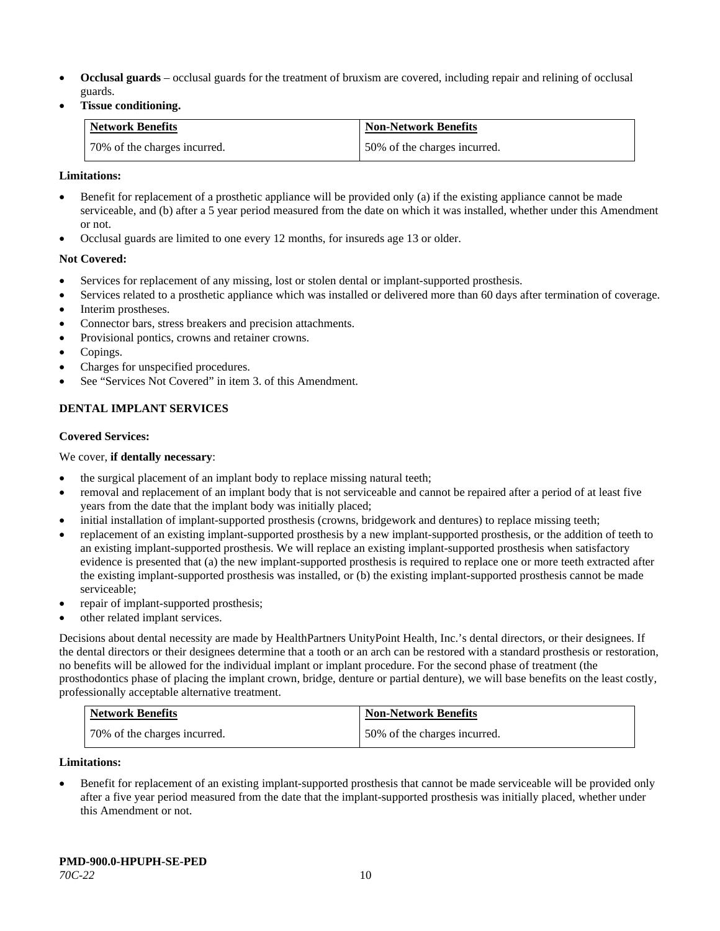- **Occlusal guards** occlusal guards for the treatment of bruxism are covered, including repair and relining of occlusal guards.
- **Tissue conditioning.**

| Network Benefits             | <b>Non-Network Benefits</b>  |
|------------------------------|------------------------------|
| 70% of the charges incurred. | 50% of the charges incurred. |

## **Limitations:**

- Benefit for replacement of a prosthetic appliance will be provided only (a) if the existing appliance cannot be made serviceable, and (b) after a 5 year period measured from the date on which it was installed, whether under this Amendment or not.
- Occlusal guards are limited to one every 12 months, for insureds age 13 or older.

## **Not Covered:**

- Services for replacement of any missing, lost or stolen dental or implant-supported prosthesis.
- Services related to a prosthetic appliance which was installed or delivered more than 60 days after termination of coverage.
- Interim prostheses.
- Connector bars, stress breakers and precision attachments.
- Provisional pontics, crowns and retainer crowns.
- Copings.
- Charges for unspecified procedures.
- See "Services Not Covered" in item 3. of this Amendment.

## **DENTAL IMPLANT SERVICES**

## **Covered Services:**

## We cover, **if dentally necessary**:

- the surgical placement of an implant body to replace missing natural teeth;
- removal and replacement of an implant body that is not serviceable and cannot be repaired after a period of at least five years from the date that the implant body was initially placed;
- initial installation of implant-supported prosthesis (crowns, bridgework and dentures) to replace missing teeth;
- replacement of an existing implant-supported prosthesis by a new implant-supported prosthesis, or the addition of teeth to an existing implant-supported prosthesis. We will replace an existing implant-supported prosthesis when satisfactory evidence is presented that (a) the new implant-supported prosthesis is required to replace one or more teeth extracted after the existing implant-supported prosthesis was installed, or (b) the existing implant-supported prosthesis cannot be made serviceable;
- repair of implant-supported prosthesis;
- other related implant services.

Decisions about dental necessity are made by HealthPartners UnityPoint Health, Inc.'s dental directors, or their designees. If the dental directors or their designees determine that a tooth or an arch can be restored with a standard prosthesis or restoration, no benefits will be allowed for the individual implant or implant procedure. For the second phase of treatment (the prosthodontics phase of placing the implant crown, bridge, denture or partial denture), we will base benefits on the least costly, professionally acceptable alternative treatment.

| <b>Network Benefits</b>      | <b>Non-Network Benefits</b>  |
|------------------------------|------------------------------|
| 70% of the charges incurred. | 50% of the charges incurred. |

## **Limitations:**

• Benefit for replacement of an existing implant-supported prosthesis that cannot be made serviceable will be provided only after a five year period measured from the date that the implant-supported prosthesis was initially placed, whether under this Amendment or not.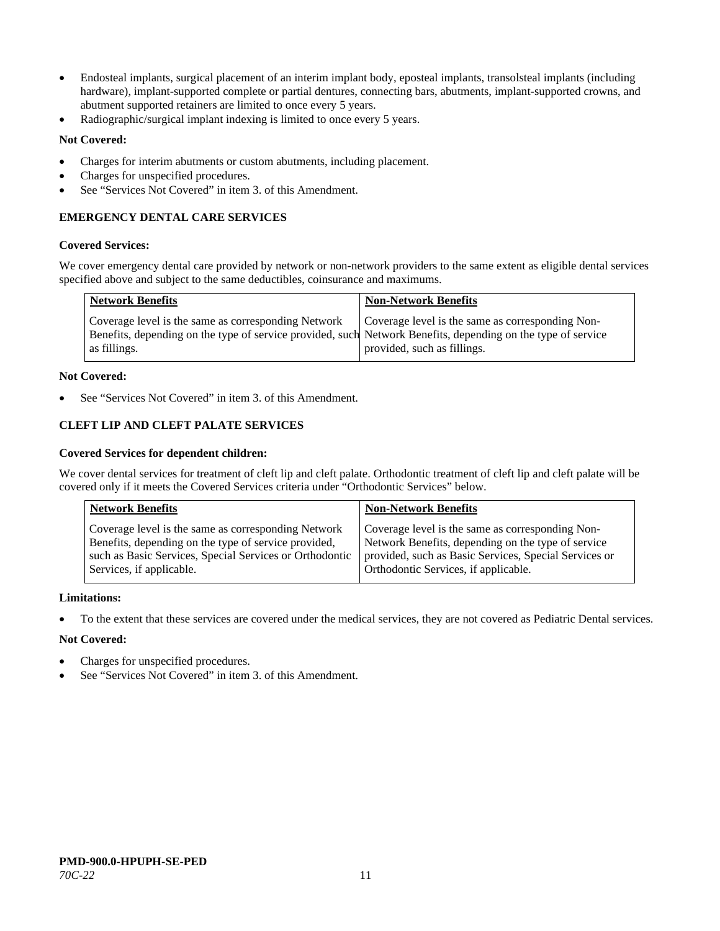- Endosteal implants, surgical placement of an interim implant body, eposteal implants, transolsteal implants (including hardware), implant-supported complete or partial dentures, connecting bars, abutments, implant-supported crowns, and abutment supported retainers are limited to once every 5 years.
- Radiographic/surgical implant indexing is limited to once every 5 years.

## **Not Covered:**

- Charges for interim abutments or custom abutments, including placement.
- Charges for unspecified procedures.
- See "Services Not Covered" in item 3. of this Amendment.

## **EMERGENCY DENTAL CARE SERVICES**

#### **Covered Services:**

We cover emergency dental care provided by network or non-network providers to the same extent as eligible dental services specified above and subject to the same deductibles, coinsurance and maximums.

| <b>Network Benefits</b>                                                                                                                                                             | <b>Non-Network Benefits</b>                                                     |
|-------------------------------------------------------------------------------------------------------------------------------------------------------------------------------------|---------------------------------------------------------------------------------|
| Coverage level is the same as corresponding Network<br>Benefits, depending on the type of service provided, such Network Benefits, depending on the type of service<br>as fillings. | Coverage level is the same as corresponding Non-<br>provided, such as fillings. |

## **Not Covered:**

See "Services Not Covered" in item 3. of this Amendment.

## **CLEFT LIP AND CLEFT PALATE SERVICES**

#### **Covered Services for dependent children:**

We cover dental services for treatment of cleft lip and cleft palate. Orthodontic treatment of cleft lip and cleft palate will be covered only if it meets the Covered Services criteria under "Orthodontic Services" below.

| <b>Network Benefits</b>                                 | <b>Non-Network Benefits</b>                           |
|---------------------------------------------------------|-------------------------------------------------------|
| Coverage level is the same as corresponding Network     | Coverage level is the same as corresponding Non-      |
| Benefits, depending on the type of service provided,    | Network Benefits, depending on the type of service    |
| such as Basic Services, Special Services or Orthodontic | provided, such as Basic Services, Special Services or |
| Services, if applicable.                                | Orthodontic Services, if applicable.                  |

#### **Limitations:**

• To the extent that these services are covered under the medical services, they are not covered as Pediatric Dental services.

## **Not Covered:**

- Charges for unspecified procedures.
- See "Services Not Covered" in item 3. of this Amendment.